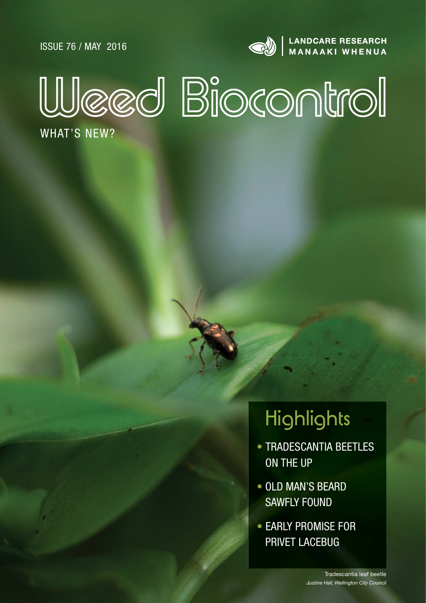ISSUE 76 / MAY 2016



LANDCARE RESEARCH<br>MANAAKI WHENUA



WHAT'S NEW?

# **Highlights**

- TRADESCANTIA BEETLES ON THE UP
- OLD MAN'S BEARD SAWFLY FOUND
- EARLY PROMISE FOR PRIVET LACEBUG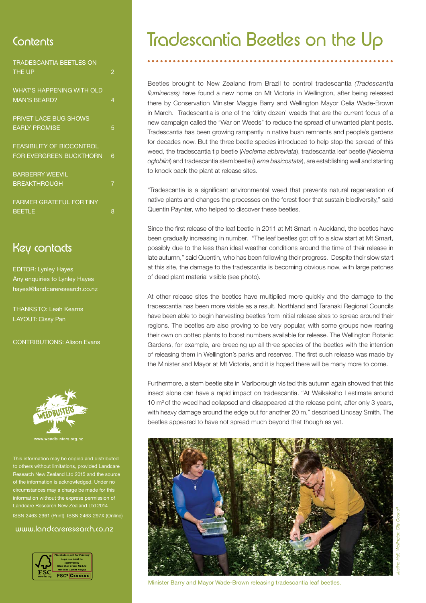| <b>TRADESCANTIA BEETLES ON</b>   |   |
|----------------------------------|---|
| <b>THE UP</b>                    | 2 |
| <b>WHAT'S HAPPENING WITH OLD</b> |   |
| <b>MAN'S BEARD?</b>              | 4 |
| <b>PRIVET LACE BUG SHOWS</b>     |   |
| <b>EARLY PROMISE</b>             | 5 |
| <b>FEASIBILITY OF BIOCONTROL</b> |   |
| <b>FOR EVERGREEN BUCKTHORN</b>   | 6 |
| <b>BARBERRY WEEVIL</b>           |   |
| <b>BREAKTHROUGH</b>              | 7 |
| <b>FARMER GRATEFUL FOR TINY</b>  |   |
| <b>BEETLE</b>                    | 8 |

### Key contacts

EDITOR: Lynley Hayes Any enquiries to Lynley Hayes hayesl@landcareresearch.co.nz

THANKS TO: Leah Kearns LAYOUT: Cissy Pan

CONTRIBUTIONS: Alison Evans



This information may be copied and distributed others without limitations, provided Landca ch New Zealand Ltd 2015 and the sourc ation is acknowledged. Unde ces may a charge be made for th ormation without the express permission of Landcare Research New Zealand Ltd 2014 ISSN 2463-2961 (Print) ISSN 2463-297X (Online)

### www.landcareresearch.co.nz



## Contents Tradescantia Beetles on the Up

Beetles brought to New Zealand from Brazil to control tradescantia *(Tradescantia*  fluminensis) have found a new home on Mt Victoria in Wellington, after being released there by Conservation Minister Maggie Barry and Wellington Mayor Celia Wade-Brown in March. Tradescantia is one of the 'dirty dozen' weeds that are the current focus of a new campaign called the "War on Weeds" to reduce the spread of unwanted plant pests. Tradescantia has been growing rampantly in native bush remnants and people's gardens for decades now. But the three beetle species introduced to help stop the spread of this weed, the tradescantia tip beetle (*Neolema abbreviata*), tradescantia leaf beetle (*Neolema ogloblini*) and tradescantia stem beetle (*Lema basicostata*), are establishing well and starting to knock back the plant at release sites.

"Tradescantia is a significant environmental weed that prevents natural regeneration of native plants and changes the processes on the forest floor that sustain biodiversity," said Quentin Paynter, who helped to discover these beetles.

Since the first release of the leaf beetle in 2011 at Mt Smart in Auckland, the beetles have been gradually increasing in number. "The leaf beetles got off to a slow start at Mt Smart, possibly due to the less than ideal weather conditions around the time of their release in late autumn," said Quentin, who has been following their progress. Despite their slow start at this site, the damage to the tradescantia is becoming obvious now, with large patches of dead plant material visible (see photo).

At other release sites the beetles have multiplied more quickly and the damage to the tradescantia has been more visible as a result. Northland and Taranaki Regional Councils have been able to begin harvesting beetles from initial release sites to spread around their regions. The beetles are also proving to be very popular, with some groups now rearing their own on potted plants to boost numbers available for release. The Wellington Botanic Gardens, for example, are breeding up all three species of the beetles with the intention of releasing them in Wellington's parks and reserves. The first such release was made by the Minister and Mayor at Mt Victoria, and it is hoped there will be many more to come.

Furthermore, a stem beetle site in Marlborough visited this autumn again showed that this insect alone can have a rapid impact on tradescantia. "At Waikakaho I estimate around 10 m<sup>2</sup> of the weed had collapsed and disappeared at the release point, after only 3 years, with heavy damage around the edge out for another 20 m," described Lindsay Smith. The beetles appeared to have not spread much beyond that though as yet.



Minister Barry and Mayor Wade-Brown releasing tradescantia leaf beetles.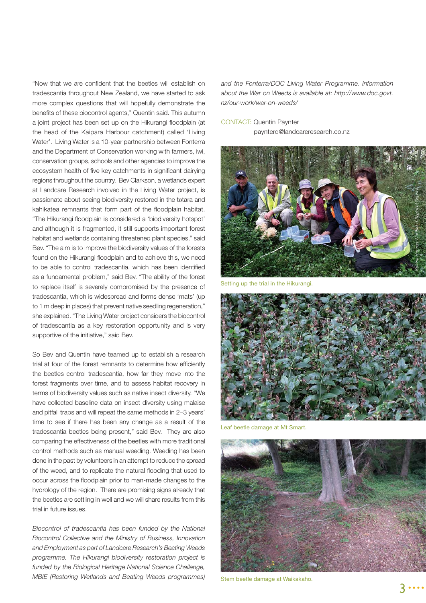"Now that we are confident that the beetles will establish on tradescantia throughout New Zealand, we have started to ask more complex questions that will hopefully demonstrate the benefits of these biocontrol agents," Quentin said. This autumn a joint project has been set up on the Hikurangi floodplain (at the head of the Kaipara Harbour catchment) called 'Living Water'. Living Water is a 10-year partnership between Fonterra and the Department of Conservation working with farmers, iwi, conservation groups, schools and other agencies to improve the ecosystem health of five key catchments in significant dairying regions throughout the country. Bev Clarkson, a wetlands expert at Landcare Research involved in the Living Water project, is passionate about seeing biodiversity restored in the tōtara and kahikatea remnants that form part of the floodplain habitat. "The Hikurangi floodplain is considered a 'biodiversity hotspot' and although it is fragmented, it still supports important forest habitat and wetlands containing threatened plant species," said Bev. "The aim is to improve the biodiversity values of the forests found on the Hikurangi floodplain and to achieve this, we need to be able to control tradescantia, which has been identified as a fundamental problem," said Bev. "The ability of the forest to replace itself is severely compromised by the presence of tradescantia, which is widespread and forms dense 'mats' (up to 1 m deep in places) that prevent native seedling regeneration." she explained. "The Living Water project considers the biocontrol of tradescantia as a key restoration opportunity and is very supportive of the initiative," said Bev.

So Bev and Quentin have teamed up to establish a research trial at four of the forest remnants to determine how efficiently the beetles control tradescantia, how far they move into the forest fragments over time, and to assess habitat recovery in terms of biodiversity values such as native insect diversity. "We have collected baseline data on insect diversity using malaise and pitfall traps and will repeat the same methods in 2−3 years' time to see if there has been any change as a result of the tradescantia beetles being present," said Bev. They are also comparing the effectiveness of the beetles with more traditional control methods such as manual weeding. Weeding has been done in the past by volunteers in an attempt to reduce the spread of the weed, and to replicate the natural flooding that used to occur across the floodplain prior to man-made changes to the hydrology of the region. There are promising signs already that the beetles are settling in well and we will share results from this trial in future issues.

*Biocontrol of tradescantia has been funded by the National Biocontrol Collective and the Ministry of Business, Innovation and Employment as part of Landcare Research's Beating Weeds programme. The Hikurangi biodiversity restoration project is funded by the Biological Heritage National Science Challenge, MBIE (Restoring Wetlands and Beating Weeds programmes)*  *and the Fonterra/DOC Living Water Programme. Information about the War on Weeds is available at: http://www.doc.govt. nz/our-work/war-on-weeds/* 

#### CONTACT: Quentin Paynter

paynterq@landcareresearch.co.nz



the trial in the Hikurangi.



Leaf beetle damage at Mt Smart.



Stem beetle damage at Waikakaho.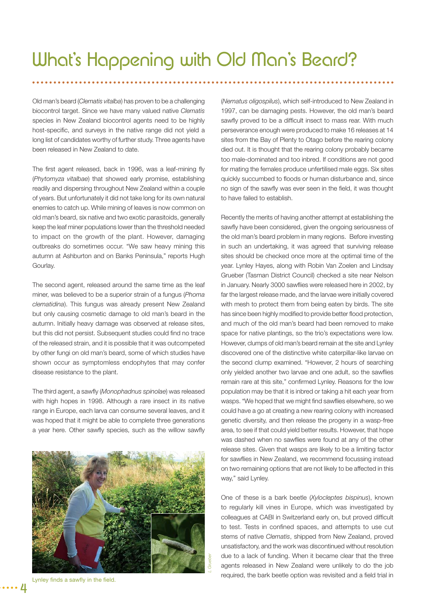Old man's beard (*Clematis vitalba*) has proven to be a challenging biocontrol target. Since we have many valued native *Clematis*  species in New Zealand biocontrol agents need to be highly host-specific, and surveys in the native range did not yield a long list of candidates worthy of further study. Three agents have been released in New Zealand to date.

The first agent released, back in 1996, was a leaf-mining fly (*Phytomyza vitalbae*) that showed early promise, establishing readily and dispersing throughout New Zealand within a couple of years. But unfortunately it did not take long for its own natural enemies to catch up. While mining of leaves is now common on old man's beard, six native and two exotic parasitoids, generally keep the leaf miner populations lower than the threshold needed to impact on the growth of the plant. However, damaging outbreaks do sometimes occur. "We saw heavy mining this autumn at Ashburton and on Banks Peninsula," reports Hugh Gourlay.

The second agent, released around the same time as the leaf miner, was believed to be a superior strain of a fungus (*Phoma clematidina*). This fungus was already present New Zealand but only causing cosmetic damage to old man's beard in the autumn. Initially heavy damage was observed at release sites, but this did not persist. Subsequent studies could find no trace of the released strain, and it is possible that it was outcompeted by other fungi on old man's beard, some of which studies have shown occur as symptomless endophytes that may confer disease resistance to the plant.

The third agent, a sawfly (Monophadnus spinolae) was released with high hopes in 1998. Although a rare insect in its native range in Europe, each larva can consume several leaves, and it was hoped that it might be able to complete three generations a year here. Other sawfly species, such as the willow sawfly



Lynley finds a sawfly in the field.

4

(*Nematus oligospilus*), which self-introduced to New Zealand in 1997, can be damaging pests. However, the old man's beard sawfly proved to be a difficult insect to mass rear. With much perseverance enough were produced to make 16 releases at 14 sites from the Bay of Plenty to Otago before the rearing colony died out. It is thought that the rearing colony probably became too male-dominated and too inbred. If conditions are not good for mating the females produce unfertilised male eggs. Six sites quickly succumbed to floods or human disturbance and, since no sign of the sawfly was ever seen in the field, it was thought to have failed to establish.

Recently the merits of having another attempt at establishing the sawfly have been considered, given the ongoing seriousness of the old man's beard problem in many regions. Before investing in such an undertaking, it was agreed that surviving release sites should be checked once more at the optimal time of the year. Lynley Hayes, along with Robin Van Zoelen and Lindsay Grueber (Tasman District Council) checked a site near Nelson in January. Nearly 3000 sawflies were released here in 2002, by far the largest release made, and the larvae were initially covered with mesh to protect them from being eaten by birds. The site has since been highly modified to provide better flood protection, and much of the old man's beard had been removed to make space for native plantings, so the trio's expectations were low. However, clumps of old man's beard remain at the site and Lynley discovered one of the distinctive white caterpillar-like larvae on the second clump examined. "However, 2 hours of searching only yielded another two larvae and one adult, so the sawflies remain rare at this site," confirmed Lynley. Reasons for the low population may be that it is inbred or taking a hit each year from wasps. "We hoped that we might find sawflies elsewhere, so we could have a go at creating a new rearing colony with increased genetic diversity, and then release the progeny in a wasp-free area, to see if that could yield better results. However, that hope was dashed when no sawflies were found at any of the other release sites. Given that wasps are likely to be a limiting factor for sawflies in New Zealand, we recommend focussing instead on two remaining options that are not likely to be affected in this way," said Lynley.

One of these is a bark beetle (*Xylocleptes bispinus*), known to regularly kill vines in Europe, which was investigated by colleagues at CABI in Switzerland early on, but proved difficult to test. Tests in confined spaces, and attempts to use cut stems of native *Clematis*, shipped from New Zealand, proved unsatisfactory, and the work was discontinued without resolution due to a lack of funding. When it became clear that the three agents released in New Zealand were unlikely to do the job required, the bark beetle option was revisited and a field trial in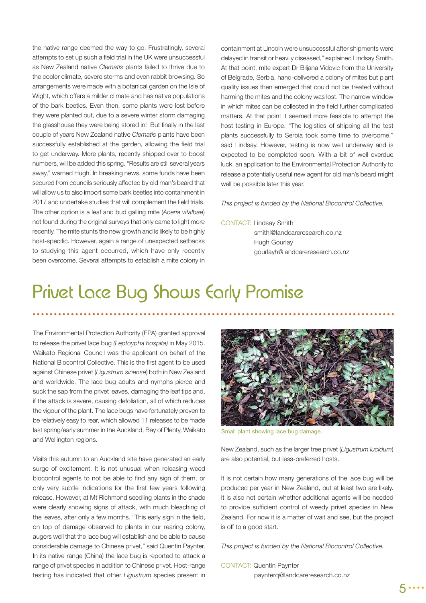the native range deemed the way to go. Frustratingly, several attempts to set up such a field trial in the UK were unsuccessful as New Zealand native *Clematis* plants failed to thrive due to the cooler climate, severe storms and even rabbit browsing. So arrangements were made with a botanical garden on the Isle of Wight, which offers a milder climate and has native populations of the bark beetles. Even then, some plants were lost before they were planted out, due to a severe winter storm damaging the glasshouse they were being stored in! But finally in the last couple of years New Zealand native *Clematis* plants have been successfully established at the garden, allowing the field trial to get underway. More plants, recently shipped over to boost numbers, will be added this spring. "Results are still several years away," warned Hugh. In breaking news, some funds have been secured from councils seriously affected by old man's beard that will allow us to also import some bark beetles into containment in 2017 and undertake studies that will complement the field trials. The other option is a leaf and bud galling mite (*Aceria vitalbae*) not found during the original surveys that only came to light more recently. The mite stunts the new growth and is likely to be highly host-specific. However, again a range of unexpected setbacks to studying this agent occurred, which have only recently been overcome. Several attempts to establish a mite colony in containment at Lincoln were unsuccessful after shipments were delayed in transit or heavily diseased," explained Lindsay Smith. At that point, mite expert Dr Biljana Vidovic from the University of Belgrade, Serbia, hand-delivered a colony of mites but plant quality issues then emerged that could not be treated without harming the mites and the colony was lost. The narrow window in which mites can be collected in the field further complicated matters. At that point it seemed more feasible to attempt the host-testing in Europe. "The logistics of shipping all the test plants successfully to Serbia took some time to overcome," said Lindsay. However, testing is now well underway and is expected to be completed soon. With a bit of well overdue luck, an application to the Environmental Protection Authority to release a potentially useful new agent for old man's beard might well be possible later this year.

*This project is funded by the National Biocontrol Collective.*

#### CONTACT: Lindsay Smith

 smithl@landcareresearch.co.nz Hugh Gourlay gourlayh@landcareresearch.co.nz

### Privet Lace Bug Shows Early Promise

The Environmental Protection Authority (EPA) granted approval to release the privet lace bug *(Leptoypha hospita)* in May 2015. Waikato Regional Council was the applicant on behalf of the National Biocontrol Collective. This is the first agent to be used against Chinese privet (*Ligustrum sinense*) both in New Zealand and worldwide. The lace bug adults and nymphs pierce and suck the sap from the privet leaves, damaging the leaf tips and, if the attack is severe, causing defoliation, all of which reduces the vigour of the plant. The lace bugs have fortunately proven to be relatively easy to rear, which allowed 11 releases to be made last spring/early summer in the Auckland, Bay of Plenty, Waikato and Wellington regions.

Visits this autumn to an Auckland site have generated an early surge of excitement. It is not unusual when releasing weed biocontrol agents to not be able to find any sign of them, or only very subtle indications for the first few years following release. However, at Mt Richmond seedling plants in the shade were clearly showing signs of attack, with much bleaching of the leaves, after only a few months. "This early sign in the field, on top of damage observed to plants in our rearing colony, augers well that the lace bug will establish and be able to cause considerable damage to Chinese privet," said Quentin Paynter. In its native range (China) the lace bug is reported to attack a range of privet species in addition to Chinese privet. Host-range testing has indicated that other *Ligustrum* species present in



Small plant showing lace bug damage.

New Zealand, such as the larger tree privet (*Ligustrum lucidum*) are also potential, but less-preferred hosts.

It is not certain how many generations of the lace bug will be produced per year in New Zealand, but at least two are likely. It is also not certain whether additional agents will be needed to provide sufficient control of weedy privet species in New Zealand. For now it is a matter of wait and see, but the project is off to a good start.

*This project is funded by the National Biocontrol Collective.*

CONTACT: Quentin Paynter paynterq@landcareresearch.co.nz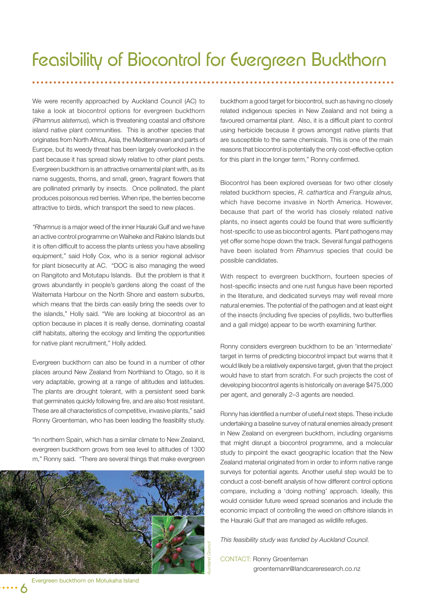We were recently approached by Auckland Council (AC) to take a look at biocontrol options for evergreen buckthorn (*Rhamnus alaternus*), which is threatening coastal and offshore island native plant communities. This is another species that originates from North Africa, Asia, the Mediterranean and parts of Europe, but its weedy threat has been largely overlooked in the past because it has spread slowly relative to other plant pests. Evergreen buckthorn is an attractive ornamental plant with, as its name suggests, thorns, and small, green, fragrant flowers that are pollinated primarily by insects. Once pollinated, the plant produces poisonous red berries. When ripe, the berries become attractive to birds, which transport the seed to new places.

*"Rhamnus* is a major weed of the inner Hauraki Gulf and we have an active control programme on Waiheke and Rakino Islands but it is often difficult to access the plants unless you have abseiling equipment," said Holly Cox, who is a senior regional advisor for plant biosecurity at AC. "DOC is also managing the weed on Rangitoto and Motutapu Islands. But the problem is that it grows abundantly in people's gardens along the coast of the Waitemata Harbour on the North Shore and eastern suburbs, which means that the birds can easily bring the seeds over to the islands," Holly said. "We are looking at biocontrol as an option because in places it is really dense, dominating coastal cliff habitats, altering the ecology and limiting the opportunities for native plant recruitment," Holly added.

Evergreen buckthorn can also be found in a number of other places around New Zealand from Northland to Otago, so it is very adaptable, growing at a range of altitudes and latitudes. The plants are drought tolerant, with a persistent seed bank that germinates quickly following fire, and are also frost resistant. These are all characteristics of competitive, invasive plants," said Ronny Groenteman, who has been leading the feasiblity study.

"In northern Spain, which has a similar climate to New Zealand, evergreen buckthorn grows from sea level to altitudes of 1300 m," Ronny said. "There are several things that make evergreen



buckthorn a good target for biocontrol, such as having no closely related indigenous species in New Zealand and not being a favoured ornamental plant. Also, it is a difficult plant to control using herbicide because it grows amongst native plants that are susceptible to the same chemicals. This is one of the main reasons that biocontrol is potentially the only cost-effective option for this plant in the longer term," Ronny confirmed.

Biocontrol has been explored overseas for two other closely related buckthorn species, *R. cathartica* and *Frangula alnus,*  which have become invasive in North America. However, because that part of the world has closely related native plants, no insect agents could be found that were sufficiently host-specific to use as biocontrol agents. Plant pathogens may yet offer some hope down the track. Several fungal pathogens have been isolated from *Rhamnus* species that could be possible candidates.

With respect to evergreen buckthorn, fourteen species of host-specific insects and one rust fungus have been reported in the literature, and dedicated surveys may well reveal more natural enemies. The potential of the pathogen and at least eight of the insects (including five species of psyllids, two butterflies and a gall midge) appear to be worth examining further.

Ronny considers evergreen buckthorn to be an 'intermediate' target in terms of predicting biocontrol impact but warns that it would likely be a relatively expensive target, given that the project would have to start from scratch. For such projects the cost of developing biocontrol agents is historically on average \$475,000 per agent, and generally 2–3 agents are needed.

Ronny has identified a number of useful next steps. These include undertaking a baseline survey of natural enemies already present in New Zealand on evergreen buckthorn, including organisms that might disrupt a biocontrol programme, and a molecular study to pinpoint the exact geographic location that the New Zealand material originated from in order to inform native range surveys for potential agents. Another useful step would be to conduct a cost-benefit analysis of how different control options compare, including a 'doing nothing' approach. Ideally, this would consider future weed spread scenarios and include the economic impact of controlling the weed on offshore islands in the Hauraki Gulf that are managed as wildlife refuges.

*This feasibility study was funded by Auckland Council.*

CONTACT: Ronny Groenteman groentemanr@landcareresearch.co.nz

Evergreen buckthorn on Motukaha Island

6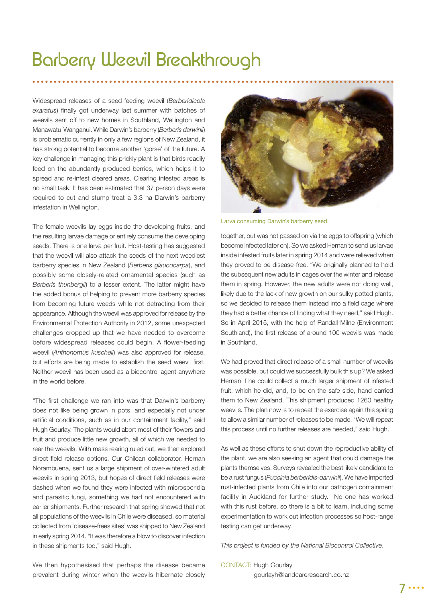### Barberry Weevil Breakthrough

Widespread releases of a seed-feeding weevil (*Berberidicola*  exaratus) finally got underway last summer with batches of weevils sent off to new homes in Southland, Wellington and Manawatu-Wanganui. While Darwin's barberry (*Berberis darwinii*) is problematic currently in only a few regions of New Zealand, it has strong potential to become another 'gorse' of the future. A key challenge in managing this prickly plant is that birds readily feed on the abundantly-produced berries, which helps it to spread and re-infest cleared areas. Clearing infested areas is no small task. It has been estimated that 37 person days were required to cut and stump treat a 3.3 ha Darwin's barberry infestation in Wellington.

The female weevils lay eggs inside the developing fruits, and the resulting larvae damage or entirely consume the developing seeds. There is one larva per fruit. Host-testing has suggested that the weevil will also attack the seeds of the next weediest barberry species in New Zealand (*Berberis glaucocarpa*), and possibly some closely-related ornamental species (such as *Berberis thunbergii*) to a lesser extent. The latter might have the added bonus of helping to prevent more barberry species from becoming future weeds while not detracting from their appearance. Although the weevil was approved for release by the Environmental Protection Authority in 2012, some unexpected challenges cropped up that we have needed to overcome before widespread releases could begin. A flower-feeding weevil (*Anthonomus kuscheli*) was also approved for release, but efforts are being made to establish the seed weevil first. Neither weevil has been used as a biocontrol agent anywhere in the world before.

"The first challenge we ran into was that Darwin's barberry does not like being grown in pots, and especially not under artificial conditions, such as in our containment facility," said Hugh Gourlay. The plants would abort most of their flowers and fruit and produce little new growth, all of which we needed to rear the weevils. With mass rearing ruled out, we then explored direct field release options. Our Chilean collaborator, Hernan Norambuena, sent us a large shipment of over-wintered adult weevils in spring 2013, but hopes of direct field releases were dashed when we found they were infected with microsporidia and parasitic fungi, something we had not encountered with earlier shipments. Further research that spring showed that not all populations of the weevils in Chile were diseased, so material collected from 'disease-frees sites' was shipped to New Zealand in early spring 2014. "It was therefore a blow to discover infection in these shipments too," said Hugh.



Larva consuming Darwin's barberry seed.

together, but was not passed on via the eggs to offspring (which become infected later on). So we asked Hernan to send us larvae inside infested fruits later in spring 2014 and were relieved when they proved to be disease-free. "We originally planned to hold the subsequent new adults in cages over the winter and release them in spring. However, the new adults were not doing well, likely due to the lack of new growth on our sulky potted plants, so we decided to release them instead into a field cage where they had a better chance of finding what they need," said Hugh. So in April 2015, with the help of Randall Milne (Environment Southland), the first release of around 100 weevils was made in Southland.

We had proved that direct release of a small number of weevils was possible, but could we successfully bulk this up? We asked Hernan if he could collect a much larger shipment of infested fruit, which he did, and, to be on the safe side, hand carried them to New Zealand. This shipment produced 1260 healthy weevils. The plan now is to repeat the exercise again this spring to allow a similar number of releases to be made. "We will repeat this process until no further releases are needed," said Hugh.

As well as these efforts to shut down the reproductive ability of the plant, we are also seeking an agent that could damage the plants themselves. Surveys revealed the best likely candidate to be a rust fungus (*Puccinia berberidis-darwinii*). We have imported rust-infected plants from Chile into our pathogen containment facility in Auckland for further study. No-one has worked with this rust before, so there is a bit to learn, including some experimentation to work out infection processes so host-range testing can get underway.

*This project is funded by the National Biocontrol Collective.* 

#### We then hypothesised that perhaps the disease became prevalent during winter when the weevils hibernate closely CONTACT: Hugh Gourlay